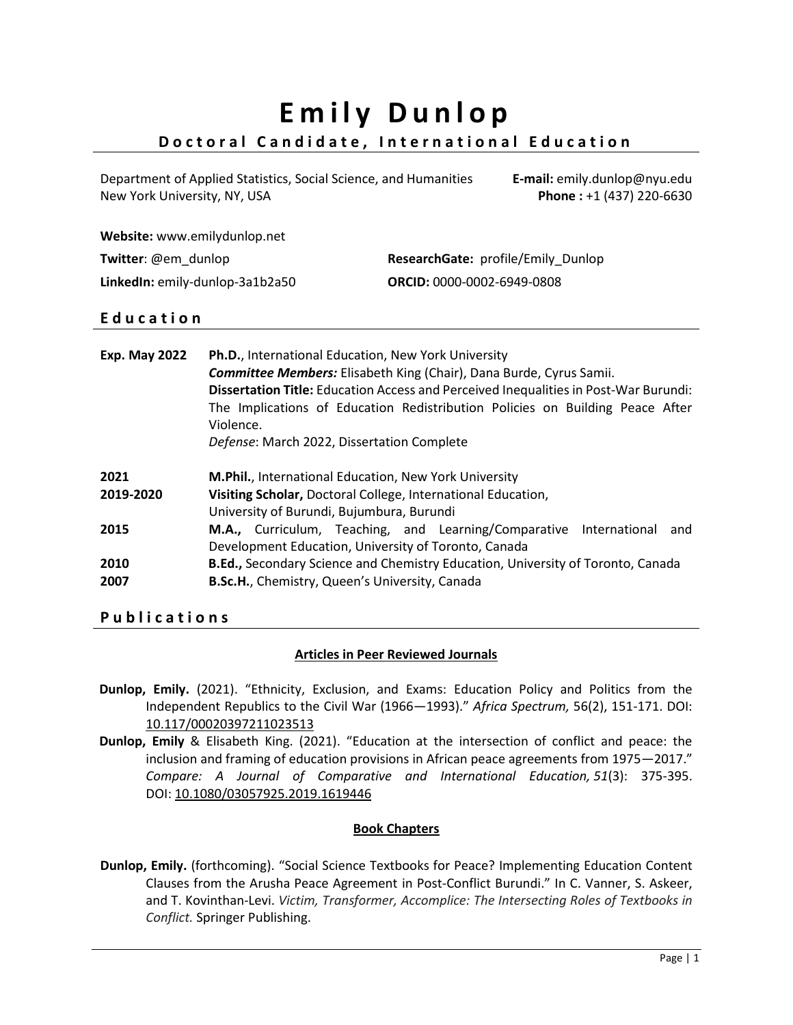# **E m i l y D u n l o p Doctoral Candidate, International Education**

Department of Applied Statistics, Social Science, and Humanities New York University, NY, USA

**E-mail:** emily.dunlop@nyu.edu **Phone :** +1 (437) 220-6630

|  | Website: www.emilydunlop.net |  |
|--|------------------------------|--|
|--|------------------------------|--|

| Twitter: @em dunlop             | ResearchGate: profile/Emily Dunlop |
|---------------------------------|------------------------------------|
| LinkedIn: emily-dunlop-3a1b2a50 | <b>ORCID: 0000-0002-6949-0808</b>  |

### **E d u c a t i o n**

| <b>Exp. May 2022</b> | Ph.D., International Education, New York University<br><b>Committee Members:</b> Elisabeth King (Chair), Dana Burde, Cyrus Samii.<br>Dissertation Title: Education Access and Perceived Inequalities in Post-War Burundi:<br>The Implications of Education Redistribution Policies on Building Peace After<br>Violence.<br>Defense: March 2022, Dissertation Complete |
|----------------------|-----------------------------------------------------------------------------------------------------------------------------------------------------------------------------------------------------------------------------------------------------------------------------------------------------------------------------------------------------------------------|
| 2021<br>2019-2020    | M.Phil., International Education, New York University<br>Visiting Scholar, Doctoral College, International Education,<br>University of Burundi, Bujumbura, Burundi                                                                                                                                                                                                    |
| 2015<br>2010<br>2007 | M.A., Curriculum, Teaching, and Learning/Comparative International<br>and<br>Development Education, University of Toronto, Canada<br><b>B.Ed., Secondary Science and Chemistry Education, University of Toronto, Canada</b><br>B.Sc.H., Chemistry, Queen's University, Canada                                                                                         |

### **P u b l i c a t i o n s**

### **Articles in Peer Reviewed Journals**

- **Dunlop, Emily.** (2021). "Ethnicity, Exclusion, and Exams: Education Policy and Politics from the Independent Republics to the Civil War (1966—1993)." *Africa Spectrum,* 56(2), 151-171. DOI: 10.117/00020397211023513
- **Dunlop, Emily** & Elisabeth King. (2021). "Education at the intersection of conflict and peace: the inclusion and framing of education provisions in African peace agreements from 1975—2017." *Compare: A Journal of Comparative and International Education, 51*(3): 375-395. DOI: [10.1080/03057925.2019.1619446](https://doi.org/10.1080/03057925.2019.1619446)

### **Book Chapters**

**Dunlop, Emily.** (forthcoming). "Social Science Textbooks for Peace? Implementing Education Content Clauses from the Arusha Peace Agreement in Post-Conflict Burundi." In C. Vanner, S. Askeer, and T. Kovinthan-Levi. *Victim, Transformer, Accomplice: The Intersecting Roles of Textbooks in Conflict.* Springer Publishing.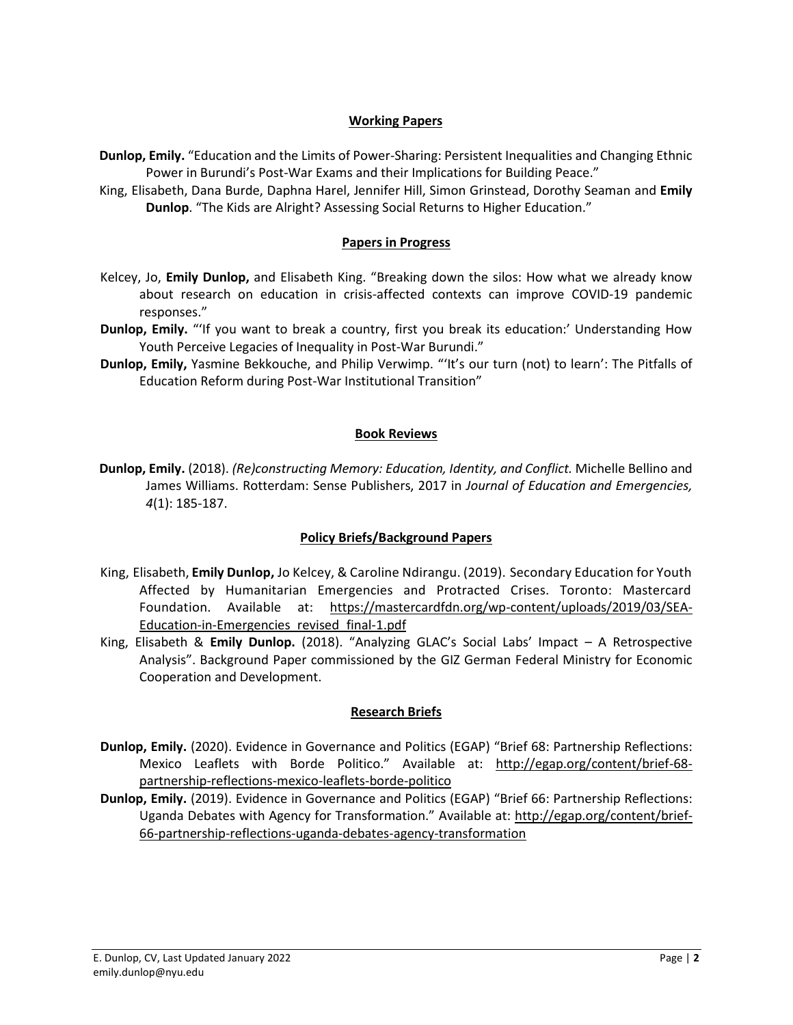### **Working Papers**

- **Dunlop, Emily.** "Education and the Limits of Power-Sharing: Persistent Inequalities and Changing Ethnic Power in Burundi's Post-War Exams and their Implications for Building Peace."
- King, Elisabeth, Dana Burde, Daphna Harel, Jennifer Hill, Simon Grinstead, Dorothy Seaman and **Emily Dunlop**. "The Kids are Alright? Assessing Social Returns to Higher Education."

### **Papers in Progress**

- Kelcey, Jo, **Emily Dunlop,** and Elisabeth King. "Breaking down the silos: How what we already know about research on education in crisis-affected contexts can improve COVID-19 pandemic responses."
- **Dunlop, Emily.** "'If you want to break a country, first you break its education:' Understanding How Youth Perceive Legacies of Inequality in Post-War Burundi."
- **Dunlop, Emily,** Yasmine Bekkouche, and Philip Verwimp. "'It's our turn (not) to learn': The Pitfalls of Education Reform during Post-War Institutional Transition"

### **Book Reviews**

**Dunlop, Emily.** (2018). *(Re)constructing Memory: Education, Identity, and Conflict.* Michelle Bellino and James Williams. Rotterdam: Sense Publishers, 2017 in *Journal of Education and Emergencies, 4*(1): 185-187.

### **Policy Briefs/Background Papers**

- King, Elisabeth, **Emily Dunlop,** Jo Kelcey, & Caroline Ndirangu. (2019). Secondary Education for Youth Affected by Humanitarian Emergencies and Protracted Crises. Toronto: Mastercard Foundation. Available at: https://mastercardfdn.org/wp-content/uploads/2019/03/SEA-Education-in-Emergencies\_revised\_final-1.pdf
- King, Elisabeth & **Emily Dunlop.** (2018). "Analyzing GLAC's Social Labs' Impact A Retrospective Analysis". Background Paper commissioned by the GIZ German Federal Ministry for Economic Cooperation and Development.

### **Research Briefs**

- **Dunlop, Emily.** (2020). Evidence in Governance and Politics (EGAP) "Brief 68: Partnership Reflections: Mexico Leaflets with Borde Politico." Available at: [http://egap.org/content/brief-68](http://egap.org/content/brief-68-partnership-reflections-mexico-leaflets-borde-politico) [partnership-reflections-mexico-leaflets-borde-politico](http://egap.org/content/brief-68-partnership-reflections-mexico-leaflets-borde-politico)
- **Dunlop, Emily.** (2019). Evidence in Governance and Politics (EGAP) "Brief 66: Partnership Reflections: Uganda Debates with Agency for Transformation." Available at: http://egap.org/content/brief-66-partnership-reflections-uganda-debates-agency-transformation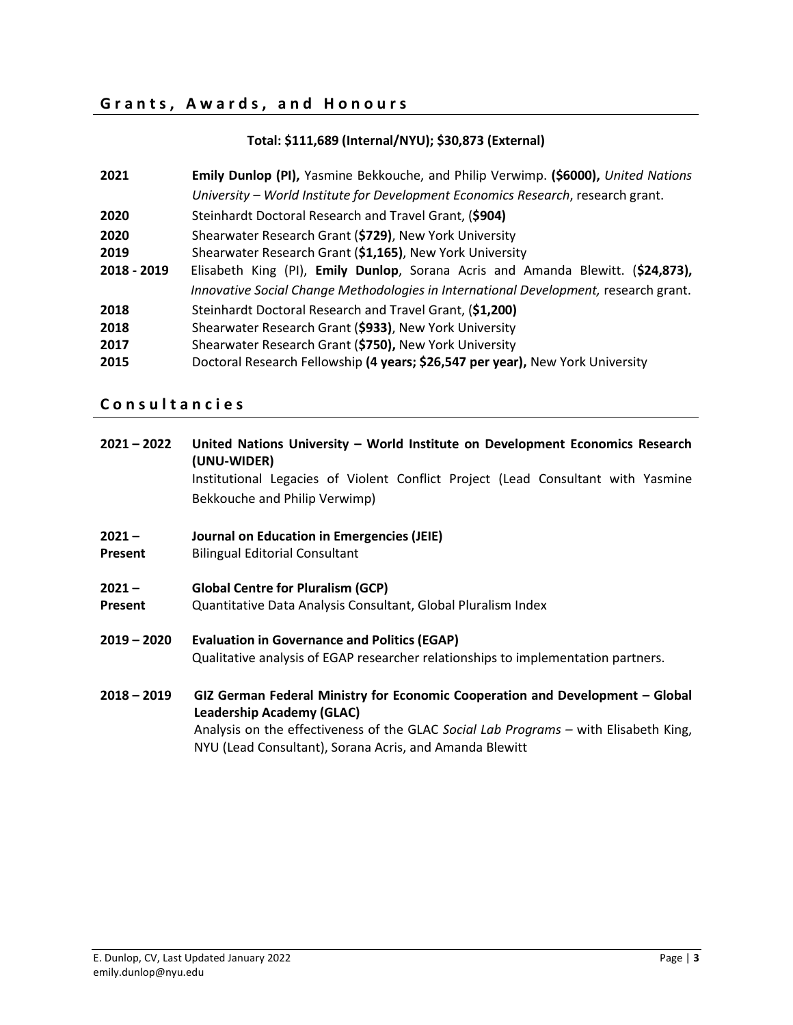### **G r a n t s , A w a r d s , a n d H o n o u r s**

### **Total: \$111,689 (Internal/NYU); \$30,873 (External)**

| 2021        | Emily Dunlop (PI), Yasmine Bekkouche, and Philip Verwimp. (\$6000), United Nations   |
|-------------|--------------------------------------------------------------------------------------|
|             | University - World Institute for Development Economics Research, research grant.     |
| 2020        | Steinhardt Doctoral Research and Travel Grant, (\$904)                               |
| 2020        | Shearwater Research Grant (\$729), New York University                               |
| 2019        | Shearwater Research Grant (\$1,165), New York University                             |
| 2018 - 2019 | Elisabeth King (PI), Emily Dunlop, Sorana Acris and Amanda Blewitt. (\$24,873),      |
|             | Innovative Social Change Methodologies in International Development, research grant. |
| 2018        | Steinhardt Doctoral Research and Travel Grant, (\$1,200)                             |
| 2018        | Shearwater Research Grant (\$933), New York University                               |
| 2017        | Shearwater Research Grant (\$750), New York University                               |
| 2015        | Doctoral Research Fellowship (4 years; \$26,547 per year), New York University       |

### **C o n s u l t a n c i e s**

| $2021 - 2022$ | United Nations University - World Institute on Development Economics Research<br>(UNU-WIDER)                                                    |  |
|---------------|-------------------------------------------------------------------------------------------------------------------------------------------------|--|
|               | Institutional Legacies of Violent Conflict Project (Lead Consultant with Yasmine                                                                |  |
|               | Bekkouche and Philip Verwimp)                                                                                                                   |  |
| $2021 -$      | Journal on Education in Emergencies (JEIE)                                                                                                      |  |
| Present       | <b>Bilingual Editorial Consultant</b>                                                                                                           |  |
| $2021 -$      | <b>Global Centre for Pluralism (GCP)</b>                                                                                                        |  |
| Present       | Quantitative Data Analysis Consultant, Global Pluralism Index                                                                                   |  |
| $2019 - 2020$ | <b>Evaluation in Governance and Politics (EGAP)</b>                                                                                             |  |
|               | Qualitative analysis of EGAP researcher relationships to implementation partners.                                                               |  |
| $2018 - 2019$ | GIZ German Federal Ministry for Economic Cooperation and Development - Global                                                                   |  |
|               | <b>Leadership Academy (GLAC)</b>                                                                                                                |  |
|               | Analysis on the effectiveness of the GLAC Social Lab Programs – with Elisabeth King,<br>NYU (Lead Consultant), Sorana Acris, and Amanda Blewitt |  |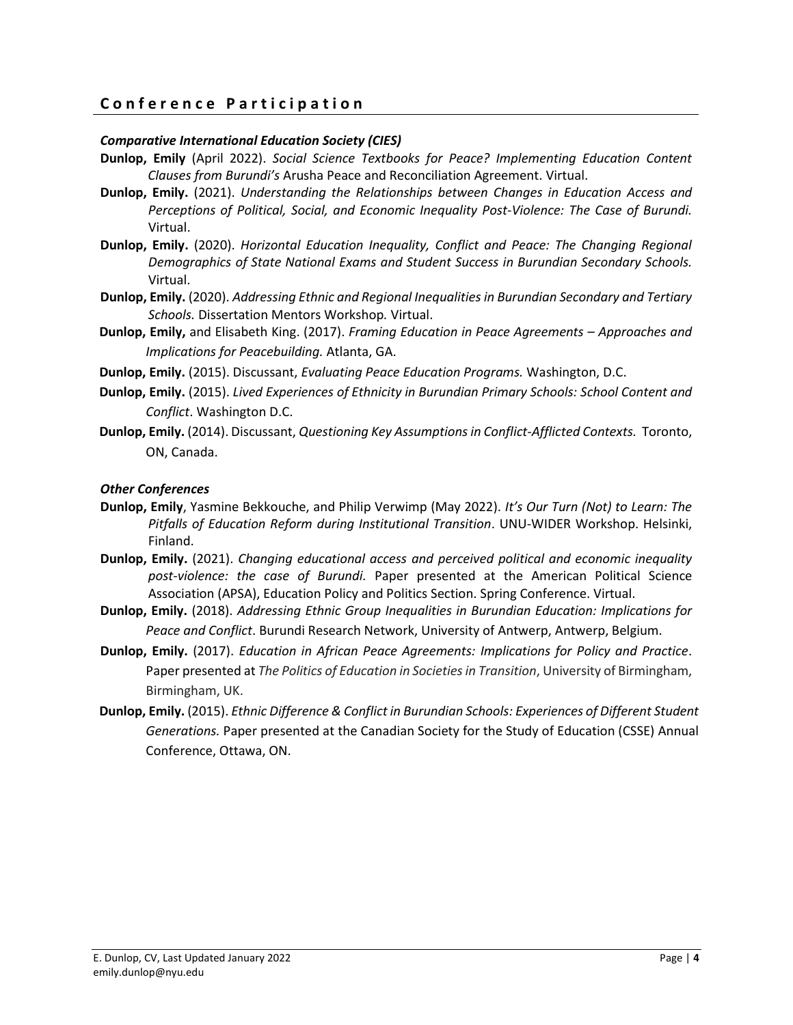### **C o n f e r e n c e P a r t i c i p a t i o n**

### *Comparative International Education Society (CIES)*

- **Dunlop, Emily** (April 2022). *Social Science Textbooks for Peace? Implementing Education Content Clauses from Burundi's* Arusha Peace and Reconciliation Agreement. Virtual.
- **Dunlop, Emily.** (2021). *Understanding the Relationships between Changes in Education Access and Perceptions of Political, Social, and Economic Inequality Post-Violence: The Case of Burundi.* Virtual.
- **Dunlop, Emily.** (2020). *Horizontal Education Inequality, Conflict and Peace: The Changing Regional Demographics of State National Exams and Student Success in Burundian Secondary Schools.* Virtual.
- **Dunlop, Emily.** (2020). *Addressing Ethnic and Regional Inequalities in Burundian Secondary and Tertiary Schools.* Dissertation Mentors Workshop*.* Virtual.
- **Dunlop, Emily,** and Elisabeth King. (2017). *Framing Education in Peace Agreements – Approaches and Implications for Peacebuilding.* Atlanta, GA.
- **Dunlop, Emily.** (2015). Discussant, *Evaluating Peace Education Programs.* Washington, D.C.
- **Dunlop, Emily.** (2015). *Lived Experiences of Ethnicity in Burundian Primary Schools: School Content and Conflict*. Washington D.C.
- **Dunlop, Emily.** (2014). Discussant, *Questioning Key Assumptions in Conflict-Afflicted Contexts.* Toronto, ON, Canada.

### *Other Conferences*

- **Dunlop, Emily**, Yasmine Bekkouche, and Philip Verwimp (May 2022). *It's Our Turn (Not) to Learn: The Pitfalls of Education Reform during Institutional Transition*. UNU-WIDER Workshop. Helsinki, Finland.
- **Dunlop, Emily.** (2021). *Changing educational access and perceived political and economic inequality post-violence: the case of Burundi.* Paper presented at the American Political Science Association (APSA), Education Policy and Politics Section. Spring Conference. Virtual.
- **Dunlop, Emily.** (2018). *Addressing Ethnic Group Inequalities in Burundian Education: Implications for Peace and Conflict*. Burundi Research Network, University of Antwerp, Antwerp, Belgium.
- **Dunlop, Emily.** (2017). *Education in African Peace Agreements: Implications for Policy and Practice*. Paper presented at *The Politics of Education in Societies in Transition*, University of Birmingham, Birmingham, UK.
- **Dunlop, Emily.** (2015). *Ethnic Difference & Conflict in Burundian Schools: Experiences of Different Student Generations.* Paper presented at the Canadian Society for the Study of Education (CSSE) Annual Conference, Ottawa, ON.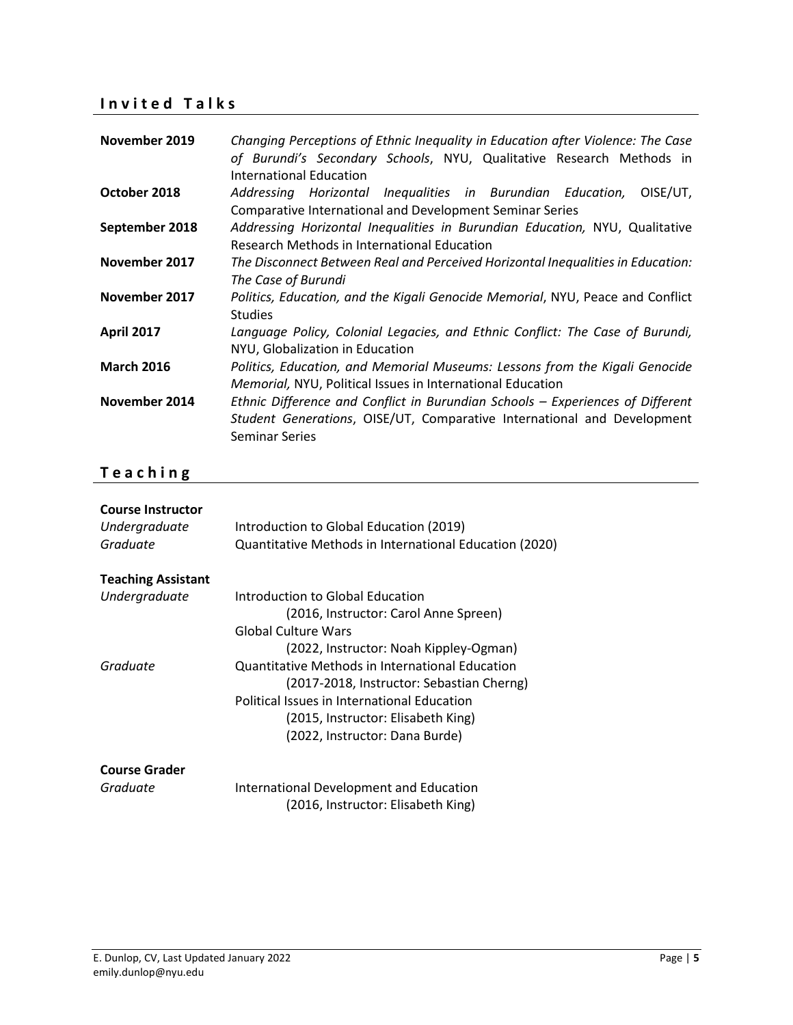### **I n v i t e d T a l k s**

| November 2019     | Changing Perceptions of Ethnic Inequality in Education after Violence: The Case<br>of Burundi's Secondary Schools, NYU, Qualitative Research Methods in<br><b>International Education</b> |
|-------------------|-------------------------------------------------------------------------------------------------------------------------------------------------------------------------------------------|
| October 2018      | Addressing Horizontal Inequalities in Burundian Education, OISE/UT,<br><b>Comparative International and Development Seminar Series</b>                                                    |
| September 2018    | Addressing Horizontal Inequalities in Burundian Education, NYU, Qualitative<br>Research Methods in International Education                                                                |
| November 2017     | The Disconnect Between Real and Perceived Horizontal Inequalities in Education:<br>The Case of Burundi                                                                                    |
| November 2017     | Politics, Education, and the Kigali Genocide Memorial, NYU, Peace and Conflict<br><b>Studies</b>                                                                                          |
| <b>April 2017</b> | Language Policy, Colonial Legacies, and Ethnic Conflict: The Case of Burundi,<br>NYU, Globalization in Education                                                                          |
| <b>March 2016</b> | Politics, Education, and Memorial Museums: Lessons from the Kigali Genocide<br>Memorial, NYU, Political Issues in International Education                                                 |
| November 2014     | Ethnic Difference and Conflict in Burundian Schools - Experiences of Different<br>Student Generations, OISE/UT, Comparative International and Development<br><b>Seminar Series</b>        |

## **T e a c h i n g**

| <b>Course Instructor</b><br>Undergraduate<br>Graduate | Introduction to Global Education (2019)<br>Quantitative Methods in International Education (2020) |
|-------------------------------------------------------|---------------------------------------------------------------------------------------------------|
| <b>Teaching Assistant</b>                             |                                                                                                   |
| Undergraduate                                         | Introduction to Global Education                                                                  |
|                                                       | (2016, Instructor: Carol Anne Spreen)                                                             |
|                                                       | Global Culture Wars                                                                               |
|                                                       | (2022, Instructor: Noah Kippley-Ogman)                                                            |
| Graduate                                              | Quantitative Methods in International Education                                                   |
|                                                       | (2017-2018, Instructor: Sebastian Cherng)                                                         |
|                                                       | Political Issues in International Education                                                       |
|                                                       | (2015, Instructor: Elisabeth King)                                                                |
|                                                       | (2022, Instructor: Dana Burde)                                                                    |
| <b>Course Grader</b>                                  |                                                                                                   |
| Graduate                                              | International Development and Education                                                           |
|                                                       | (2016, Instructor: Elisabeth King)                                                                |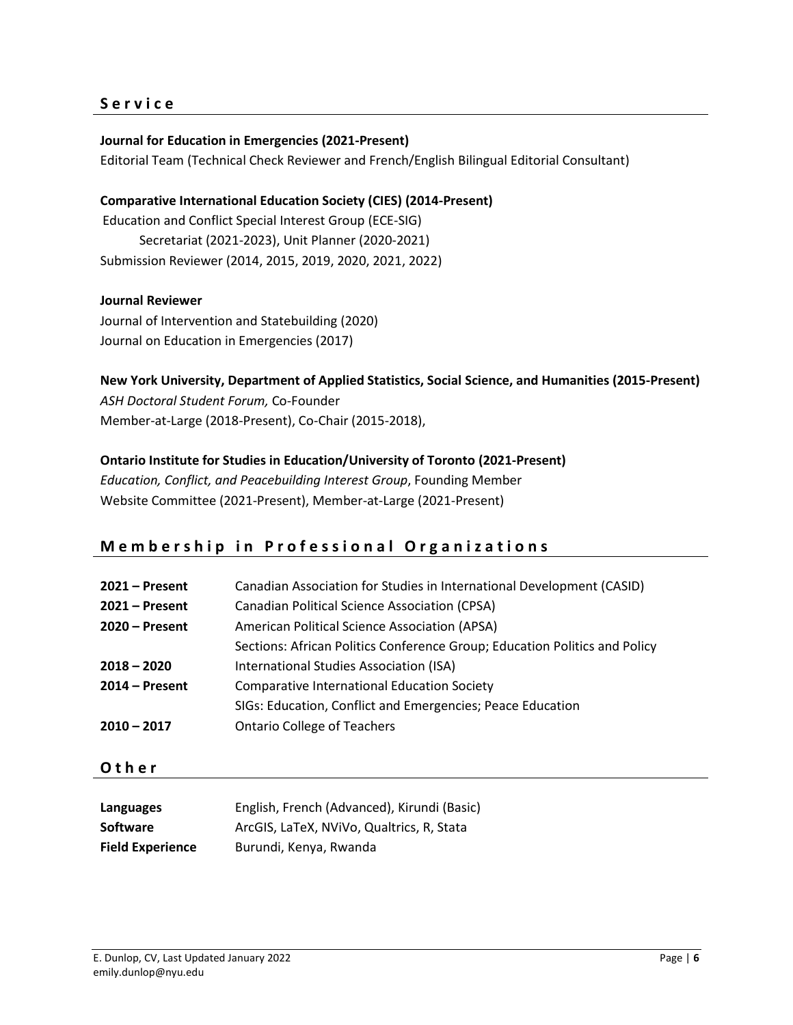### **S e r v i c e**

### **Journal for Education in Emergencies (2021-Present)**

Editorial Team (Technical Check Reviewer and French/English Bilingual Editorial Consultant)

**Comparative International Education Society (CIES) (2014-Present)** Education and Conflict Special Interest Group (ECE-SIG) Secretariat (2021-2023), Unit Planner (2020-2021) Submission Reviewer (2014, 2015, 2019, 2020, 2021, 2022)

### **Journal Reviewer**

Journal of Intervention and Statebuilding (2020) Journal on Education in Emergencies (2017)

### **New York University, Department of Applied Statistics, Social Science, and Humanities (2015-Present)**

*ASH Doctoral Student Forum,* Co-Founder Member-at-Large (2018-Present), Co-Chair (2015-2018),

### **Ontario Institute for Studies in Education/University of Toronto (2021-Present)**

*Education, Conflict, and Peacebuilding Interest Group*, Founding Member Website Committee (2021-Present), Member-at-Large (2021-Present)

### **Membership in Professional Organizations**

| $2021 -$ Present | Canadian Association for Studies in International Development (CASID)      |
|------------------|----------------------------------------------------------------------------|
| $2021 -$ Present | <b>Canadian Political Science Association (CPSA)</b>                       |
| $2020 -$ Present | American Political Science Association (APSA)                              |
|                  | Sections: African Politics Conference Group; Education Politics and Policy |
| $2018 - 2020$    | International Studies Association (ISA)                                    |
| $2014 - Present$ | <b>Comparative International Education Society</b>                         |
|                  | SIGs: Education, Conflict and Emergencies; Peace Education                 |
| $2010 - 2017$    | <b>Ontario College of Teachers</b>                                         |

**O t h e r**

| Languages               | English, French (Advanced), Kirundi (Basic) |
|-------------------------|---------------------------------------------|
| <b>Software</b>         | ArcGIS, LaTeX, NVIVo, Qualtrics, R, Stata   |
| <b>Field Experience</b> | Burundi, Kenya, Rwanda                      |